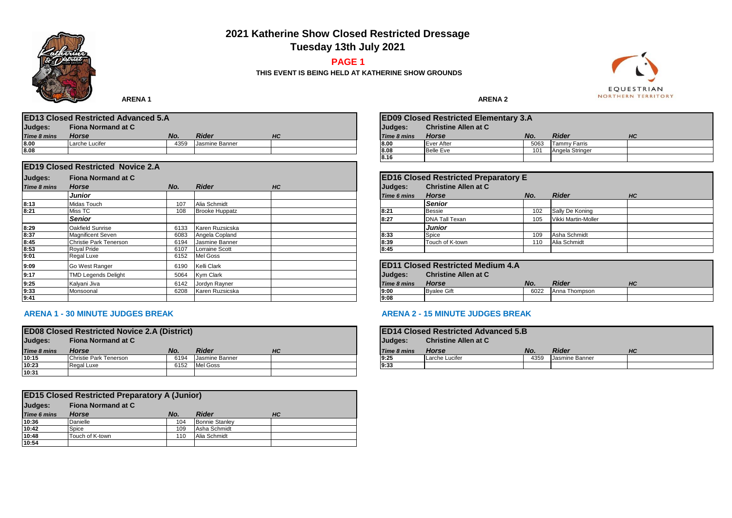**2021 Katherine Show Closed Restricted Dressage**

**Tuesday 13th July 2021**

# **PAGE 1**

**THIS EVENT IS BEING HELD AT KATHERINE SHOW GROUNDS**



 **ARENA 1** ARENA 1

| <b>ED13 Closed Restricted Advanced 5.A</b> |                    |      |                |    |                    | <b>ED09 Closed Restricted Elementary 3.A</b> |      |                     |    |
|--------------------------------------------|--------------------|------|----------------|----|--------------------|----------------------------------------------|------|---------------------|----|
| Judges:                                    | Fiona Normand at C |      |                |    | <b>IJudaes:</b>    | <b>Christine Allen at C</b>                  |      |                     |    |
| Time 8 mins                                | <b>Horse</b>       | No.  | Rider          | HC | <b>Time 8 mins</b> | Horse                                        | No.  | Rider               | HC |
| 8.00                                       | Larche Lucifer     | 4359 | Jasmine Banner |    | 8.00               | Ever After                                   | 5063 | <b>Tammy Farris</b> |    |
| 8.08                                       |                    |      |                |    | 8.08               | <b>Belle Eve</b>                             | 101  | Angela Stringer     |    |

|                    | <b>ED19 Closed Restricted Novice 2.A</b> |      |                       |    |             |                                             |      |                     |    |
|--------------------|------------------------------------------|------|-----------------------|----|-------------|---------------------------------------------|------|---------------------|----|
| Judges:            | <b>Fiona Normand at C</b>                |      |                       |    |             | <b>ED16 Closed Restricted Preparatory E</b> |      |                     |    |
| <b>Time 8 mins</b> | Horse                                    | No.  | <b>Rider</b>          | HC | Judges:     | <b>Christine Allen at C</b>                 |      |                     |    |
|                    | <b>Junior</b>                            |      |                       |    | Time 6 mins | <b>Horse</b>                                | No.  | <b>Rider</b>        | HC |
| 8:13               | <b>Midas Touch</b>                       | 107  | Alia Schmidt          |    |             | <b>Senior</b>                               |      |                     |    |
| 8:21               | Miss TC                                  | 108  | <b>Brooke Huppatz</b> |    | 8:21        | <b>Bessie</b>                               | 102  | Sally De Koning     |    |
|                    | <b>Senior</b>                            |      |                       |    | 8:27        | <b>DNA Tall Texan</b>                       | 105  | Vikki Martin-Moller |    |
| 8:29               | Oakfield Sunrise                         | 6133 | Karen Ruzsicska       |    |             | <b>Junior</b>                               |      |                     |    |
| 8:37               | <b>Magnificent Seven</b>                 | 6083 | Angela Copland        |    | 8:33        | Spice                                       | 109  | Asha Schmidt        |    |
| 8:45               | Christie Park Tenerson                   | 6194 | Jasmine Banner        |    | 8:39        | Touch of K-town                             | 110  | Alia Schmidt        |    |
| 8:53               | <b>Roval Pride</b>                       | 6107 | <b>Lorraine Scott</b> |    | 8:45        |                                             |      |                     |    |
| 9:01               | Regal Luxe                               | 6152 | Mel Goss              |    |             |                                             |      |                     |    |
| 9:09               | Go West Ranger                           | 6190 | <b>Kelli Clark</b>    |    |             | <b>ED11 Closed Restricted Medium 4.A</b>    |      |                     |    |
| 9:17               | <b>TMD Legends Delight</b>               | 5064 | Kym Clark             |    | Judges:     | <b>Christine Allen at C</b>                 |      |                     |    |
| 9:25               | Kalyani Jiva                             | 6142 | Jordyn Rayner         |    | Time 8 mins | <b>Horse</b>                                | No.  | <b>Rider</b>        | HC |
| 9:33               | Monsoonal                                | 6208 | Karen Ruzsicska       |    | 9:00        | <b>Byalee Gift</b>                          | 6022 | Anna Thompson       |    |
| 9:41               |                                          |      |                       |    | 9:08        |                                             |      |                     |    |

## **ARENA 1 - 30 MINUTE JUDGES BREAK ARENA 2 - 15 MINUTE JUDGES BREAK**

| <b>ED08 Closed Restricted Novice 2.A (District)</b> |                        |      |                |    |                    | <b>IED14 Closed Restricted Advanced 5.B</b> |      |                |    |
|-----------------------------------------------------|------------------------|------|----------------|----|--------------------|---------------------------------------------|------|----------------|----|
| <b>Fiona Normand at C</b><br>Judges:                |                        |      |                |    | Judges:            | <b>Christine Allen at C</b>                 |      |                |    |
| Time 8 mins                                         | <b>Horse</b>           | No.  | Rider          | HC | <b>Time 8 mins</b> | Horse                                       | No.  | <b>Rider</b>   | HC |
| 10:15                                               | Christie Park Tenerson | 6194 | Jasmine Banner |    | 9.25               | Larche Lucifer                              | 4359 | Jasmine Banner |    |
| 10:23                                               | Regal Luxe             | 6152 | Mel Goss       |    | 9:33               |                                             |      |                |    |
| 10:31                                               |                        |      |                |    |                    |                                             |      |                |    |

| <b>ED15 Closed Restricted Preparatory A (Junior)</b> |                 |     |                       |    |  |  |  |  |  |
|------------------------------------------------------|-----------------|-----|-----------------------|----|--|--|--|--|--|
| Judges:<br><b>Fiona Normand at C</b>                 |                 |     |                       |    |  |  |  |  |  |
| <b>Time 6 mins</b>                                   | <b>Horse</b>    | No. | <b>Rider</b>          | HС |  |  |  |  |  |
| 10:36                                                | Danielle        | 104 | <b>Bonnie Stanley</b> |    |  |  |  |  |  |
| 10:42                                                | Spice           | 109 | Asha Schmidt          |    |  |  |  |  |  |
| 10:48                                                | Touch of K-town | 110 | Alia Schmidt          |    |  |  |  |  |  |
| 10:54                                                |                 |     |                       |    |  |  |  |  |  |

|                    | <b>ED09 Closed Restricted Elementary 3.A</b> |      |                 |    |  |  |  |  |  |  |  |
|--------------------|----------------------------------------------|------|-----------------|----|--|--|--|--|--|--|--|
| <b>Judges:</b>     | <b>Christine Allen at C</b>                  |      |                 |    |  |  |  |  |  |  |  |
| <b>Time 8 mins</b> | <b>Horse</b>                                 | No.  | <b>Rider</b>    | HС |  |  |  |  |  |  |  |
| 8.00               | Ever After                                   | 5063 | Tammy Farris    |    |  |  |  |  |  |  |  |
| 8.08               | <b>Belle Eve</b>                             | 101  | Angela Stringer |    |  |  |  |  |  |  |  |
| 8.16               |                                              |      |                 |    |  |  |  |  |  |  |  |

|             | <b>ED16 Closed Restricted Preparatory E</b> |     |                            |    |  |  |  |  |  |  |  |
|-------------|---------------------------------------------|-----|----------------------------|----|--|--|--|--|--|--|--|
| Judges:     | <b>Christine Allen at C</b>                 |     |                            |    |  |  |  |  |  |  |  |
| Time 6 mins | <b>Horse</b>                                | No. | <b>Rider</b>               | HС |  |  |  |  |  |  |  |
|             | <b>Senior</b>                               |     |                            |    |  |  |  |  |  |  |  |
| 8:21        | <b>Bessie</b>                               | 102 | Sally De Koning            |    |  |  |  |  |  |  |  |
| 8:27        | <b>DNA Tall Texan</b>                       | 105 | <b>Vikki Martin-Moller</b> |    |  |  |  |  |  |  |  |
|             | <b>Junior</b>                               |     |                            |    |  |  |  |  |  |  |  |
| 8:33        | Spice                                       | 109 | Asha Schmidt               |    |  |  |  |  |  |  |  |
| 8:39        | Touch of K-town                             | 110 | Alia Schmidt               |    |  |  |  |  |  |  |  |
| 8:45        |                                             |     |                            |    |  |  |  |  |  |  |  |

|                    | <b>ED11 Closed Restricted Medium 4.A</b><br><b>Christine Allen at C</b><br>Judges: |      |               |    |  |  |  |  |  |
|--------------------|------------------------------------------------------------------------------------|------|---------------|----|--|--|--|--|--|
| <b>Time 8 mins</b> | <b>Horse</b>                                                                       | No.  | <b>Rider</b>  | HС |  |  |  |  |  |
| 9:00               | <b>Byalee Gift</b>                                                                 | 6022 | Anna Thompson |    |  |  |  |  |  |
| 9:08               |                                                                                    |      |               |    |  |  |  |  |  |

| Judges:     | <b>ED14 Closed Restricted Advanced 5.B</b><br><b>Christine Allen at C</b> |      |                |           |  |  |  |  |  |
|-------------|---------------------------------------------------------------------------|------|----------------|-----------|--|--|--|--|--|
| Time 8 mins | <b>Horse</b>                                                              | No.  | <b>Rider</b>   | <b>HC</b> |  |  |  |  |  |
| 9:25        | Larche Lucifer                                                            | 4359 | Jasmine Banner |           |  |  |  |  |  |
| 9:33        |                                                                           |      |                |           |  |  |  |  |  |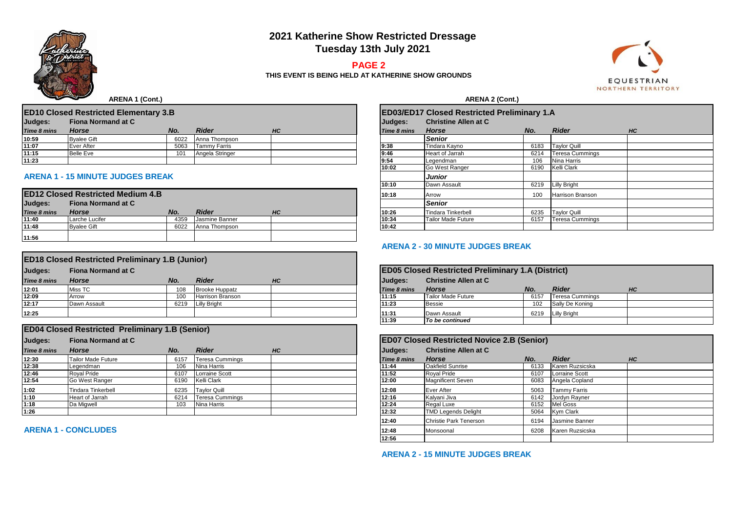# **2021 Katherine Show Restricted Dressage Tuesday 13th July 2021**

## **PAGE 2**

**THIS EVENT IS BEING HELD AT KATHERINE SHOW GROUNDS**



 **ARENA 1 (Cont.) ARENA 2 (Cont.)** 

|                                      | <b>ED10 Closed Restricted Elementary 3.B</b> |      |                 |    | <b>ED03/ED17 Closed Restricted Preliminary 1.A</b> |             |                             |      |                        |    |  |
|--------------------------------------|----------------------------------------------|------|-----------------|----|----------------------------------------------------|-------------|-----------------------------|------|------------------------|----|--|
| Judges:<br><b>Fiona Normand at C</b> |                                              |      |                 |    |                                                    | Judges:     | <b>Christine Allen at C</b> |      |                        |    |  |
| Time 8 mins                          | <b>Horse</b>                                 | No.  | Rider           | HC |                                                    | Time 8 mins | Horse                       | No.  | <b>Rider</b>           | HC |  |
| 10:59                                | <b>Byalee Gift</b>                           | 6022 | Anna Thompson   |    |                                                    |             | <b>Senior</b>               |      |                        |    |  |
| 11:07                                | Ever After                                   | 5063 | Tammy Farris    |    |                                                    | 9.38        | Tindara Kavno               | 6183 | <b>Taylor Quill</b>    |    |  |
| 11:15                                | <b>Belle Eve</b>                             | 101  | Angela Stringer |    |                                                    | 9:46        | <b>Heart of Jarrah</b>      | 6214 | <b>Teresa Cummings</b> |    |  |
| 11:23                                |                                              |      |                 |    |                                                    | 9:54        | Legendman                   | 106  | Nina Harris            |    |  |

### **ARENA 1 - 15 MINUTE JUDGES BREAK** *Junior*

|                    | <b>ED12 Closed Restricted Medium 4.B</b> |      |                |    | 10:18 | Arrow              | 100  | <b>Harrison Branson</b> |
|--------------------|------------------------------------------|------|----------------|----|-------|--------------------|------|-------------------------|
| Judges:            | <b>Fiona Normand at C</b>                |      |                |    |       | <b>Senior</b>      |      |                         |
| <b>Time 8 mins</b> | <b>Horse</b>                             | No.  | Rider          | HC | 10:26 | Tindara Tinkerbell | 6235 | Tavlor Quill            |
| 11:40              | Larche Lucifer                           | 4359 | Jasmine Banner |    | 10:34 | Tailor Made Future | 6157 | <b>Teresa Cummings</b>  |
| 11:48              | <b>Byalee Gift</b>                       | 6022 | Anna Thompson  |    | 10:42 |                    |      |                         |
| 11:56              |                                          |      |                |    |       |                    |      |                         |

|                    | <b>ED18 Closed Restricted Preliminary 1.B (Junior)</b> |      |                       |    |  |                    |                                                          |      |                   |    |  |  |
|--------------------|--------------------------------------------------------|------|-----------------------|----|--|--------------------|----------------------------------------------------------|------|-------------------|----|--|--|
| Judges:            | <b>Fiona Normand at C</b>                              |      |                       |    |  |                    | <b>ED05 Closed Restricted Preliminary 1.A (District)</b> |      |                   |    |  |  |
| <b>Time 8 mins</b> | Horse                                                  | No.  | <b>Rider</b>          | HC |  | Judges:            | <b>Christine Allen at C</b>                              |      |                   |    |  |  |
| 12:01              | Miss TC                                                | 108  | <b>Brooke Huppatz</b> |    |  | <b>Time 8 mins</b> | Horse                                                    | No.  | <b>Rider</b>      | HC |  |  |
| 12:09              | Arrow                                                  | 100  | Harrison Branson      |    |  | 11:15              | Tailor Made Future                                       | 6157 | Teresa Cummings   |    |  |  |
| 12:17              | Dawn Assault                                           | 6219 | Lilly Bright          |    |  | 11:23              | <b>Bessie</b>                                            | 102  | Sally De Koning   |    |  |  |
| 12:25              |                                                        |      |                       |    |  | 11:31<br>.         | Dawn Assault<br>.                                        |      | 6219 Lilly Bright |    |  |  |

| <b>Fiona Normand at C</b> |      |                        |                                    | <b>ED07 Closed Restricted Novice 2.B (Senior)</b> |                             |      |                     |                                                                                                                      |  |  |
|---------------------------|------|------------------------|------------------------------------|---------------------------------------------------|-----------------------------|------|---------------------|----------------------------------------------------------------------------------------------------------------------|--|--|
| <b>Horse</b>              | No.  | <b>Rider</b>           | <b>HC</b>                          | Judges:                                           | <b>Christine Allen at C</b> |      |                     |                                                                                                                      |  |  |
| Tailor Made Future        | 6157 | <b>Teresa Cummings</b> |                                    | Time 8 mins                                       | <b>Horse</b>                | No.  | <b>Rider</b>        | HC                                                                                                                   |  |  |
| Legendman                 | 106  | Nina Harris            |                                    | 11:44                                             | Oakfield Sunrise            | 6133 |                     |                                                                                                                      |  |  |
| <b>Roval Pride</b>        | 6107 | <b>Lorraine Scott</b>  |                                    | 11:52                                             | <b>Roval Pride</b>          | 6107 | Lorraine Scott      |                                                                                                                      |  |  |
| Go West Ranger            | 6190 |                        |                                    | 12:00                                             | <b>Magnificent Seven</b>    | 6083 |                     |                                                                                                                      |  |  |
| Tindara Tinkerbell        | 6235 |                        |                                    | 12:08                                             | Ever After                  | 5063 | <b>Tammy Farris</b> |                                                                                                                      |  |  |
| Heart of Jarrah           | 6214 | <b>Teresa Cummings</b> |                                    | 12:16                                             | Kalyani Jiva                | 6142 | Jordyn Rayner       |                                                                                                                      |  |  |
| Da Migwell                | 103  | Nina Harris            |                                    | 12:24                                             | Regal Luxe                  | 6152 |                     |                                                                                                                      |  |  |
|                           |      |                        |                                    | 12:32                                             | <b>TMD Legends Delight</b>  | 5064 |                     |                                                                                                                      |  |  |
|                           |      |                        | Kelli Clark<br><b>Taylor Quill</b> |                                                   |                             |      |                     | <b>ED04 Closed Restricted Preliminary 1.B (Senior)</b><br>Karen Ruzsicska<br>Angela Copland<br>Mel Goss<br>Kym Clark |  |  |

**ARENA 1 - CONCLUDES** 

| <b>ED03/ED17 Closed Restricted Preliminary 1.A</b> |                             |      |                         |    |  |
|----------------------------------------------------|-----------------------------|------|-------------------------|----|--|
| Judges:                                            | <b>Christine Allen at C</b> |      |                         |    |  |
| Time 8 mins                                        | <b>Horse</b>                | No.  | <b>Rider</b>            | HС |  |
|                                                    | <b>Senior</b>               |      |                         |    |  |
| 9:38                                               | Tindara Kayno               | 6183 | <b>Taylor Quill</b>     |    |  |
| 9:46                                               | Heart of Jarrah             | 6214 | <b>Teresa Cummings</b>  |    |  |
| 9:54                                               | Legendman                   | 106  | Nina Harris             |    |  |
| 10:02                                              | Go West Ranger              | 6190 | Kelli Clark             |    |  |
|                                                    | <b>Junior</b>               |      |                         |    |  |
| 10:10                                              | Dawn Assault                | 6219 | Lilly Bright            |    |  |
| 10:18                                              | Arrow                       | 100  | <b>Harrison Branson</b> |    |  |
|                                                    | <b>Senior</b>               |      |                         |    |  |
| 10:26                                              | <b>Tindara Tinkerbell</b>   | 6235 | <b>Taylor Quill</b>     |    |  |
| 10:34                                              | <b>Tailor Made Future</b>   | 6157 | <b>Teresa Cummings</b>  |    |  |
| 10:42                                              |                             |      |                         |    |  |

#### **ARENA 2 - 30 MINUTE JUDGES BREAK**

| <b>ED05 Closed Restricted Preliminary 1.A (District)</b> |                             |      |                        |    |  |
|----------------------------------------------------------|-----------------------------|------|------------------------|----|--|
| Judges:                                                  | <b>Christine Allen at C</b> |      |                        |    |  |
| <b>Time 8 mins</b>                                       | <b>Horse</b>                | No.  | <b>Rider</b>           | HС |  |
| 11:15                                                    | <b>Tailor Made Future</b>   | 6157 | <b>Teresa Cummings</b> |    |  |
| 11:23                                                    | <b>Bessie</b>               | 102  | Sally De Koning        |    |  |
| 11:31                                                    | Dawn Assault                | 6219 | Lilly Bright           |    |  |
| 11:39                                                    | To be continued             |      |                        |    |  |

| <b>ED07 Closed Restricted Novice 2.B (Senior)</b> |                               |      |                 |    |  |
|---------------------------------------------------|-------------------------------|------|-----------------|----|--|
| Judges:                                           | <b>Christine Allen at C</b>   |      |                 |    |  |
| Time 8 mins                                       | <b>Horse</b>                  | No.  | <b>Rider</b>    | HC |  |
| 11:44                                             | Oakfield Sunrise              | 6133 | Karen Ruzsicska |    |  |
| 11:52                                             | <b>Royal Pride</b>            | 6107 | Lorraine Scott  |    |  |
| 12:00                                             | <b>Magnificent Seven</b>      | 6083 | Angela Copland  |    |  |
| 12:08                                             | <b>Ever After</b>             | 5063 | Tammy Farris    |    |  |
| 12:16                                             | Kalyani Jiva                  | 6142 | Jordyn Rayner   |    |  |
| 12:24                                             | Regal Luxe                    | 6152 | <b>Mel Goss</b> |    |  |
| 12:32                                             | <b>TMD Legends Delight</b>    | 5064 | Kym Clark       |    |  |
| 12:40                                             | <b>Christie Park Tenerson</b> | 6194 | Jasmine Banner  |    |  |
| 12:48                                             | Monsoonal                     | 6208 | Karen Ruzsicska |    |  |
| 12:56                                             |                               |      |                 |    |  |

**ARENA 2 - 15 MINUTE JUDGES BREAK**